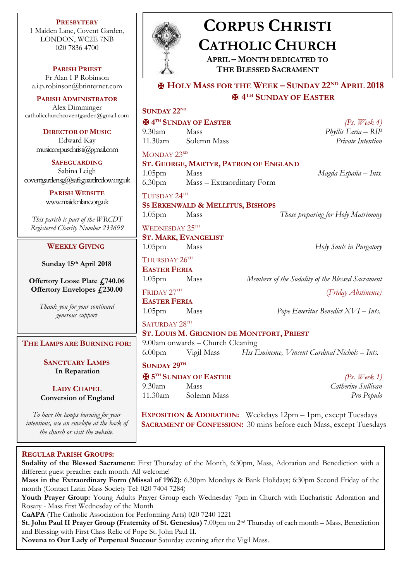**PRESBYTERY** 1 Maiden Lane, Covent Garden, LONDON, WC2E 7NB 020 7836 4700

**PARISH PRIEST** Fr Alan I P Robinson [a.i.p.robinson@btinternet.com](mailto:a.i.p.robinson@btinternet.com)

**PARISH ADMINISTRATOR** Alex Dimminger catholicchurchcoventgarden@

> **DIRECTOR OF MU** Edward Kay  $m$ usiccorpuschristi $@$ gm

**SAFEGUARDING** Sabina Leigh  $cover the ardensg@safeguardr$ 

> **PARISH WEBSIT** www.maidenlane.org

*This parish is part of the* V *Registered Charity Number* 

# **WEEKLY GIVIN**

**Sunday 15<sup>th</sup> April** 2

**Offertory Loose Plate Offertory Envelopes**,

> *Thank you for your con generous support*

## $$

**SANCTUARY LAM In Reparation**

# **LADY CHAPEL Conversion of Eng**

*To have the lamps burning for your respect to bave the lamps burning for*  $\theta$ *intentions, use an envelope at the back of the church or visit the website.*

**CORPUS CHRISTI CATHOLIC CHURCH**

**APRIL – MONTH DEDICATED TO THE BLESSED SACRAMENT**

# ✠ **HOLY MASS FOR THE WEEK – SUNDAY 22ND APRIL 2018** ✠ **4 TH SUNDAY OF EASTER**

| ٠r.<br>@gmail.com | SUNDAY 22 <sup>ND</sup>                                    |                                  |                                                                              |
|-------------------|------------------------------------------------------------|----------------------------------|------------------------------------------------------------------------------|
|                   | <b>H</b> 4 <sup>TH</sup> SUNDAY OF EASTER                  |                                  | (Ps. Week 4)                                                                 |
| <b>JSIC</b>       | $9.30$ am                                                  | Mass                             | Phyllis Faria - RIP                                                          |
|                   | 11.30am                                                    | Solemn Mass                      | Private Intention                                                            |
| nail.com          | MONDAY 23RD                                                |                                  |                                                                              |
| Ġ                 | ST. GEORGE, MARTYR, PATRON OF ENGLAND                      |                                  |                                                                              |
|                   | 1.05 <sub>pm</sub>                                         | Mass                             | Magda España – Ints.                                                         |
| cdow.org.uk       |                                                            | 6.30pm Mass – Extraordinary Form |                                                                              |
| ľΕ<br>guk         | TUESDAY 24TH                                               |                                  |                                                                              |
|                   | <b>SS ERKENWALD &amp; MELLITUS, BISHOPS</b>                |                                  |                                                                              |
| VRCDT<br>r 233699 | 1.05 <sub>pm</sub>                                         | Mass                             | Those preparing for Holy Matrimony                                           |
|                   | WEDNESDAY 25TH                                             |                                  |                                                                              |
|                   | <b>ST. MARK, EVANGELIST</b>                                |                                  |                                                                              |
| ΙG                | $1.05$ pm                                                  | Mass                             | Holy Souls in Purgatory                                                      |
|                   | THURSDAY 26TH                                              |                                  |                                                                              |
| 2018              | <b>EASTER FERIA</b>                                        |                                  |                                                                              |
| £740.06           | $1.05$ pm                                                  | Mass                             | Members of the Sodality of the Blessed Sacrament                             |
| $f_{1,2}30.00$    | FRIDAY 27TH                                                |                                  | (Friday Abstinence)                                                          |
|                   | <b>EASTER FERIA</b>                                        |                                  |                                                                              |
| tinued            | 1.05 <sub>pm</sub>                                         | Mass                             | Pope Emeritus Benedict XVI - Ints.                                           |
|                   |                                                            |                                  |                                                                              |
|                   | SATURDAY 28TH<br>ST. LOUIS M. GRIGNION DE MONTFORT, PRIEST |                                  |                                                                              |
| <b>IING FOR:</b>  | 9.00am onwards - Church Cleaning                           |                                  |                                                                              |
|                   | 6.00 <sub>pm</sub>                                         |                                  | Vigil Mass His Eminence, Vincent Cardinal Nichols - Ints.                    |
| <b>MPS</b>        | SUNDAY 29TH                                                |                                  |                                                                              |
|                   | <b>H</b> 5 <sup>TH</sup> SUNDAY OF EASTER                  |                                  |                                                                              |
|                   |                                                            |                                  | $(Ps, \textit{Week} 1)$                                                      |
|                   | $9.30$ am                                                  | Mass<br>11.30am Solemn Mass      | Catherine Sullivan                                                           |
| gland             |                                                            |                                  | Pro Populo                                                                   |
| r for vour        |                                                            |                                  | <b>EXPOSITION &amp; ADORATION:</b> Weekdays $12$ pm $= 1$ pm except Tuesdays |

**EXPOSITION & ADORATION:** Weekdays 12pm – 1pm, except Tuesdays **SACRAMENT OF CONFESSION:** 30 mins before each Mass, except Tuesdays

## **REGULAR PARISH GROUPS:**

**Sodality of the Blessed Sacrament:** First Thursday of the Month, 6:30pm, Mass, Adoration and Benediction with a different guest preacher each month. All welcome!

**Mass in the Extraordinary Form (Missal of 1962):** 6.30pm Mondays & Bank Holidays; 6:30pm Second Friday of the month (Contact Latin Mass Society Tel: 020 7404 7284)

**Youth Prayer Group:** Young Adults Prayer Group each Wednesday 7pm in Church with Eucharistic Adoration and Rosary - Mass first Wednesday of the Month

**CaAPA** (The Catholic Association for Performing Arts) 020 7240 1221

**St. John Paul II Prayer Group (Fraternity of St. Genesius)** 7.00pm on 2nd Thursday of each month – Mass, Benediction and Blessing with First Class Relic of Pope St. John Paul II.

**Novena to Our Lady of Perpetual Succour** Saturday evening after the Vigil Mass.